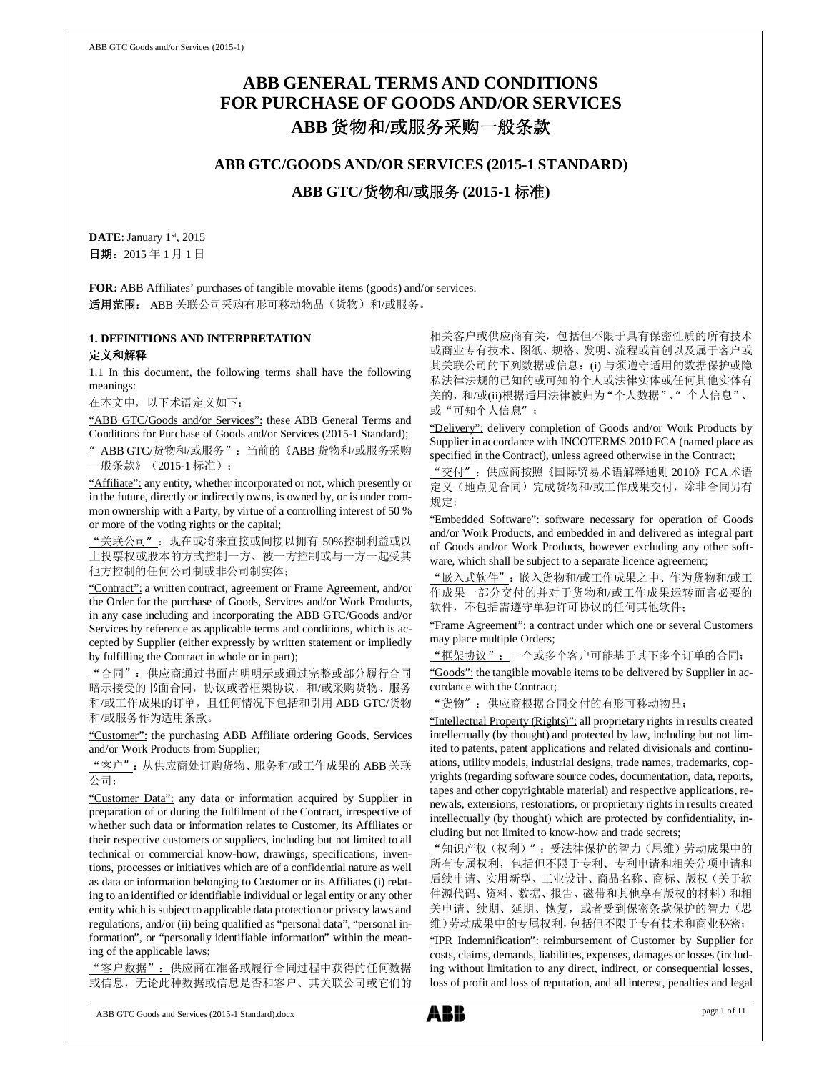# **ABB GENERAL TERMS AND CONDITIONS FOR PURCHASE OF GOODS AND/OR SERVICES ABB** 货物和**/**或服务采购一般条款

# **ABB GTC/GOODS AND/OR SERVICES (2015-1 STANDARD)**

**ABB GTC/**货物和**/**或服务 **(2015-1** 标准**)**

DATE: January 1st, 2015 日期:2015 年 1 月 1 日

**FOR:** ABB Affiliates' purchases of tangible movable items (goods) and/or services. 适用范围: ABB 关联公司采购有形可移动物品(货物)和/或服务。

## **1. DEFINITIONS AND INTERPRETATION** 定义和解释

1.1 In this document, the following terms shall have the following meanings:

在本文中,以下术语定义如下:

"ABB GTC/Goods and/or Services": these ABB General Terms and Conditions for Purchase of Goods and/or Services (2015-1 Standard); " ABB GTC/货物和/或服务": 当前的《ABB 货物和/或服务采购 一般条款》(2015-1 标准);

"Affiliate": any entity, whether incorporated or not, which presently or in the future, directly or indirectly owns, is owned by, or is under common ownership with a Party, by virtue of a controlling interest of 50 % or more of the voting rights or the capital;

"关联公司":现在或将来直接或间接以拥有 50%控制利益或以 上投票权或股本的方式控制一方、被一方控制或与一方一起受其 他方控制的任何公司制或非公司制实体;

"Contract": a written contract, agreement or Frame Agreement, and/or the Order for the purchase of Goods, Services and/or Work Products, in any case including and incorporating the ABB GTC/Goods and/or Services by reference as applicable terms and conditions, which is accepted by Supplier (either expressly by written statement or impliedly by fulfilling the Contract in whole or in part);

"合同":供应商通过书面声明明示或通过完整或部分履行合同 暗示接受的书面合同,协议或者框架协议,和/或采购货物、服务 和/或工作成果的订单,且任何情况下包括和引用 ABB GTC/货物 和/或服务作为适用条款。

"Customer": the purchasing ABB Affiliate ordering Goods, Services and/or Work Products from Supplier;

"客户":从供应商处订购货物、服务和/或工作成果的 ABB 关联 公司;

"Customer Data": any data or information acquired by Supplier in preparation of or during the fulfilment of the Contract, irrespective of whether such data or information relates to Customer, its Affiliates or their respective customers or suppliers, including but not limited to all technical or commercial know-how, drawings, specifications, inventions, processes or initiatives which are of a confidential nature as well as data or information belonging to Customer or its Affiliates (i) relating to an identified or identifiable individual or legal entity or any other entity which is subject to applicable data protection or privacy laws and regulations, and/or (ii) being qualified as "personal data", "personal information", or "personally identifiable information" within the meaning of the applicable laws;

"客户数据":供应商在准备或履行合同过程中获得的任何数据 或信息,无论此种数据或信息是否和客户、其关联公司或它们的

相关客户或供应商有关,包括但不限于具有保密性质的所有技术 或商业专有技术、图纸、规格、发明、流程或首创以及属于客户或 其关联公司的下列数据或信息: (i) 与须遵守适用的数据保护或隐 私法律法规的已知的或可知的个人或法律实体或任何其他实体有 关的,和/或(ii)根据适用法律被归为"个人数据"、"个人信息"、 或"可知个人信息";

"Delivery": delivery completion of Goods and/or Work Products by Supplier in accordance with INCOTERMS 2010 FCA (named place as specified in the Contract), unless agreed otherwise in the Contract;

"交付":供应商按照《国际贸易术语解释通则 2010》FCA术语 定义(地点见合同)完成货物和/或工作成果交付,除非合同另有 规定;

"Embedded Software": software necessary for operation of Goods and/or Work Products, and embedded in and delivered as integral part of Goods and/or Work Products, however excluding any other software, which shall be subject to a separate licence agreement;

"嵌入式软件":嵌入货物和/或工作成果之中、作为货物和/或工 作成果一部分交付的并对于货物和/或工作成果运转而言必要的 软件,不包括需遵守单独许可协议的任何其他软件;

"Frame Agreement": a contract under which one or several Customers may place multiple Orders;

"框架协议":一个或多个客户可能基于其下多个订单的合同;

"Goods": the tangible movable items to be delivered by Supplier in accordance with the Contract;

"货物":供应商根据合同交付的有形可移动物品;

"Intellectual Property (Rights)": all proprietary rights in results created intellectually (by thought) and protected by law, including but not limited to patents, patent applications and related divisionals and continuations, utility models, industrial designs, trade names, trademarks, copyrights (regarding software source codes, documentation, data, reports, tapes and other copyrightable material) and respective applications, renewals, extensions, restorations, or proprietary rights in results created intellectually (by thought) which are protected by confidentiality, including but not limited to know-how and trade secrets;

"知识产权(权利)":受法律保护的智力(思维)劳动成果中的 所有专属权利,包括但不限于专利、专利申请和相关分项申请和 后续申请、实用新型、工业设计、商品名称、商标、版权(关于软 件源代码、资料、数据、报告、磁带和其他享有版权的材料)和相 关申请、续期、延期、恢复, 或者受到保密条款保护的智力(思 维)劳动成果中的专属权利,包括但不限于专有技术和商业秘密;

"IPR Indemnification": reimbursement of Customer by Supplier for costs, claims, demands, liabilities, expenses, damages or losses (including without limitation to any direct, indirect, or consequential losses, loss of profit and loss of reputation, and all interest, penalties and legal

ABB GTC Goods and Services (2015-1 Standard).docx page 1 of 11

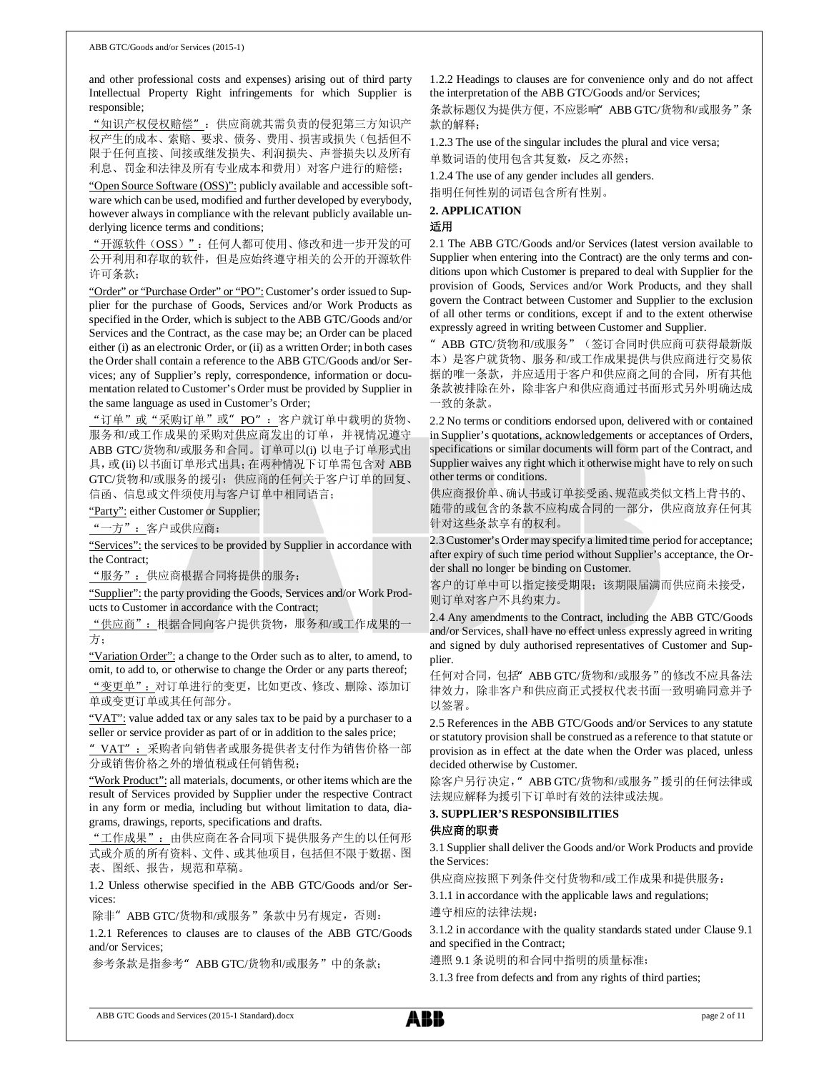and other professional costs and expenses) arising out of third party Intellectual Property Right infringements for which Supplier is responsible;

"知识产权侵权赔偿":供应商就其需负责的侵犯第三方知识产 权产生的成本、索赔、要求、债务、费用、损害或损失(包括但不 限于任何直接、间接或继发损失、利润损失、声誉损失以及所有 利息、罚金和法律及所有专业成本和费用)对客户进行的赔偿;

"Open Source Software (OSS)": publicly available and accessible software which can be used, modified and further developed by everybody, however always in compliance with the relevant publicly available underlying licence terms and conditions;

"开源软件(OSS)": 任何人都可使用、修改和进一步开发的可 公开利用和存取的软件,但是应始终遵守相关的公开的开源软件 许可条款;

"Order" or "Purchase Order" or "PO": Customer's order issued to Supplier for the purchase of Goods, Services and/or Work Products as specified in the Order, which is subject to the ABB GTC/Goods and/or Services and the Contract, as the case may be; an Order can be placed either (i) as an electronic Order, or (ii) as a written Order; in both cases the Order shall contain a reference to the ABB GTC/Goods and/or Services; any of Supplier's reply, correspondence, information or documentation related to Customer's Order must be provided by Supplier in the same language as used in Customer's Order;

"订单"或"采购订单"或"PO": 客户就订单中载明的货物、 服务和/或工作成果的采购对供应商发出的订单,并视情况遵守 ABB GTC/货物和/或服务和合同。订单可以(i) 以电子订单形式出 具, 或 (ii) 以书面订单形式出具; 在两种情况下订单需包含对 ABB GTC/货物和/或服务的援引;供应商的任何关于客户订单的回复、 信函、信息或文件须使用与客户订单中相同语言;

"Party": either Customer or Supplier;

"一方":客户或供应商;

"Services": the services to be provided by Supplier in accordance with the Contract;

"服务":供应商根据合同将提供的服务;

"Supplier": the party providing the Goods, Services and/or Work Products to Customer in accordance with the Contract;

"供应商":根据合同向客户提供货物,服务和/或工作成果的一 方;

"Variation Order": a change to the Order such as to alter, to amend, to omit, to add to, or otherwise to change the Order or any parts thereof; "变更单":对订单进行的变更,比如更改、修改、删除、添加订 单或变更订单或其任何部分。

"VAT": value added tax or any sales tax to be paid by a purchaser to a seller or service provider as part of or in addition to the sales price;

' VAT": 采购者向销售者或服务提供者支付作为销售价格一部 分或销售价格之外的增值税或任何销售税;

"Work Product": all materials, documents, or other items which are the result of Services provided by Supplier under the respective Contract in any form or media, including but without limitation to data, diagrams, drawings, reports, specifications and drafts.

"工作成果":由供应商在各合同项下提供服务产生的以任何形 式或介质的所有资料、文件、或其他项目,包括但不限于数据、图 表、图纸、报告,规范和草稿。

1.2 Unless otherwise specified in the ABB GTC/Goods and/or Services:

除非" ABB GTC/货物和/或服务"条款中另有规定,否则:

1.2.1 References to clauses are to clauses of the ABB GTC/Goods and/or Services;

参考条款是指参考"ABB GTC/货物和/或服务"中的条款;

1.2.2 Headings to clauses are for convenience only and do not affect the interpretation of the ABB GTC/Goods and/or Services;

条款标题仅为提供方便,不应影响"ABB GTC/货物和/或服务"条 款的解释;

1.2.3 The use of the singular includes the plural and vice versa; 单数词语的使用包含其复数,反之亦然;

1.2.4 The use of any gender includes all genders.

指明任何性别的词语包含所有性别。

**2. APPLICATION** 适用

2.1 The ABB GTC/Goods and/or Services (latest version available to Supplier when entering into the Contract) are the only terms and conditions upon which Customer is prepared to deal with Supplier for the provision of Goods, Services and/or Work Products, and they shall govern the Contract between Customer and Supplier to the exclusion of all other terms or conditions, except if and to the extent otherwise expressly agreed in writing between Customer and Supplier.

"ABB GTC/货物和/或服务"(签订合同时供应商可获得最新版 本)是客户就货物、服务和/或工作成果提供与供应商进行交易依 据的唯一条款,并应适用于客户和供应商之间的合同,所有其他 条款被排除在外,除非客户和供应商通过书面形式另外明确达成 一致的条款。

2.2 No terms or conditions endorsed upon, delivered with or contained in Supplier's quotations, acknowledgements or acceptances of Orders, specifications or similar documents will form part of the Contract, and Supplier waives any right which it otherwise might have to rely on such other terms or conditions.

供应商报价单、确认书或订单接受函、规范或类似文档上背书的、 随带的或包含的条款不应构成合同的一部分,供应商放弃任何其 针对这些条款享有的权利。

2.3 Customer's Order may specify a limited time period for acceptance; after expiry of such time period without Supplier's acceptance, the Order shall no longer be binding on Customer.

客户的订单中可以指定接受期限;该期限届满而供应商未接受, 则订单对客户不具约束力。

2.4 Any amendments to the Contract, including the ABB GTC/Goods and/or Services, shall have no effect unless expressly agreed in writing and signed by duly authorised representatives of Customer and Supplier.

任何对合同,包括"ABB GTC/货物和/或服务"的修改不应具备法 律效力,除非客户和供应商正式授权代表书面一致明确同意并予 以签署。

2.5 References in the ABB GTC/Goods and/or Services to any statute or statutory provision shall be construed as a reference to that statute or provision as in effect at the date when the Order was placed, unless decided otherwise by Customer.

除客户另行决定," ABB GTC/货物和/或服务"援引的任何法律或 法规应解释为援引下订单时有效的法律或法规。

### **3. SUPPLIER'S RESPONSIBILITIES** 供应商的职责

3.1 Supplier shall deliver the Goods and/or Work Products and provide the Services:

供应商应按照下列条件交付货物和/或工作成果和提供服务:

3.1.1 in accordance with the applicable laws and regulations; 遵守相应的法律法规;

3.1.2 in accordance with the quality standards stated under Clause 9.1 and specified in the Contract;

遵照 9.1 条说明的和合同中指明的质量标准;

3.1.3 free from defects and from any rights of third parties;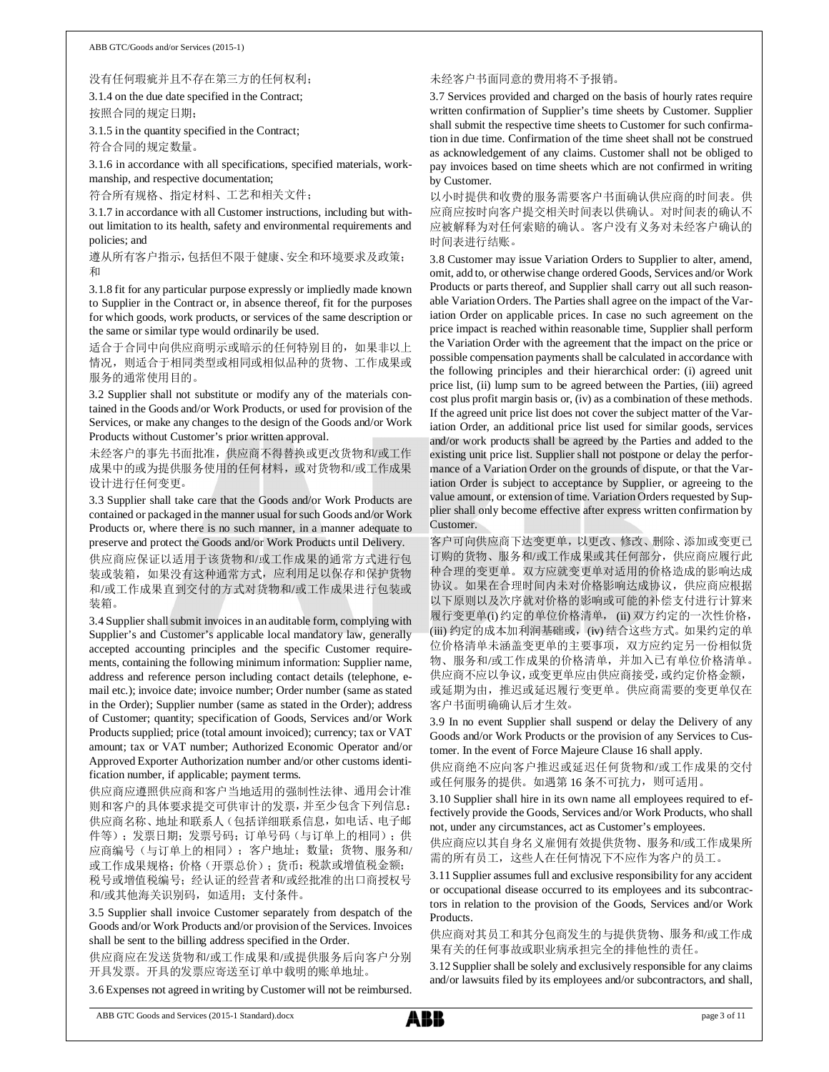#### 没有任何瑕疵并且不存在第三方的任何权利;

3.1.4 on the due date specified in the Contract; 按照合同的规定日期;

3.1.5 in the quantity specified in the Contract; 符合合同的规定数量。

3.1.6 in accordance with all specifications, specified materials, workmanship, and respective documentation;

符合所有规格、指定材料、工艺和相关文件;

3.1.7 in accordance with all Customer instructions, including but without limitation to its health, safety and environmental requirements and policies; and

遵从所有客户指示,包括但不限于健康、安全和环境要求及政策; 和

3.1.8 fit for any particular purpose expressly or impliedly made known to Supplier in the Contract or, in absence thereof, fit for the purposes for which goods, work products, or services of the same description or the same or similar type would ordinarily be used.

适合于合同中向供应商明示或暗示的任何特别目的,如果非以上 情况,则适合于相同类型或相同或相似品种的货物、工作成果或 服务的通常使用目的。

3.2 Supplier shall not substitute or modify any of the materials contained in the Goods and/or Work Products, or used for provision of the Services, or make any changes to the design of the Goods and/or Work Products without Customer's prior written approval.

未经客户的事先书面批准,供应商不得替换或更改货物和/或工作 成果中的或为提供服务使用的任何材料,或对货物和/或工作成果 设计进行任何变更。

3.3 Supplier shall take care that the Goods and/or Work Products are contained or packaged in the manner usual for such Goods and/or Work Products or, where there is no such manner, in a manner adequate to preserve and protect the Goods and/or Work Products until Delivery.

供应商应保证以适用于该货物和/或工作成果的通常方式进行包 装或装箱,如果没有这种通常方式,应利用足以保存和保护货物 和/或工作成果直到交付的方式对货物和/或工作成果进行包装或 装箱。

3.4 Supplier shall submit invoices in an auditable form, complying with Supplier's and Customer's applicable local mandatory law, generally accepted accounting principles and the specific Customer requirements, containing the following minimum information: Supplier name, address and reference person including contact details (telephone, email etc.); invoice date; invoice number; Order number (same as stated in the Order); Supplier number (same as stated in the Order); address of Customer; quantity; specification of Goods, Services and/or Work Products supplied; price (total amount invoiced); currency; tax or VAT amount; tax or VAT number; Authorized Economic Operator and/or Approved Exporter Authorization number and/or other customs identification number, if applicable; payment terms.

供应商应遵照供应商和客户当地适用的强制性法律、通用会计准 则和客户的具体要求提交可供审计的发票,并至少包含下列信息: 供应商名称、地址和联系人(包括详细联系信息,如电话、电子邮 件等);发票日期;发票号码;订单号码(与订单上的相同);供 应商编号(与订单上的相同);客户地址;数量;货物、服务和/ 或工作成果规格;价格(开票总价);货币;税款或增值税金额; 税号或增值税编号;经认证的经营者和/或经批准的出口商授权号 和/或其他海关识别码,如适用;支付条件。

3.5 Supplier shall invoice Customer separately from despatch of the Goods and/or Work Products and/or provision of the Services. Invoices shall be sent to the billing address specified in the Order.

供应商应在发送货物和/或工作成果和/或提供服务后向客户分别 开具发票。开具的发票应寄送至订单中载明的账单地址。

3.6 Expenses not agreed in writing by Customer will not be reimbursed.

#### 未经客户书面同意的费用将不予报销。

3.7 Services provided and charged on the basis of hourly rates require written confirmation of Supplier's time sheets by Customer. Supplier shall submit the respective time sheets to Customer for such confirmation in due time. Confirmation of the time sheet shall not be construed as acknowledgement of any claims. Customer shall not be obliged to pay invoices based on time sheets which are not confirmed in writing by Customer.

以小时提供和收费的服务需要客户书面确认供应商的时间表。供 应商应按时向客户提交相关时间表以供确认。对时间表的确认不 应被解释为对任何索赔的确认。客户没有义务对未经客户确认的 时间表进行结账。

3.8 Customer may issue Variation Orders to Supplier to alter, amend, omit, add to, or otherwise change ordered Goods, Services and/or Work Products or parts thereof, and Supplier shall carry out all such reasonable Variation Orders. The Parties shall agree on the impact of the Variation Order on applicable prices. In case no such agreement on the price impact is reached within reasonable time, Supplier shall perform the Variation Order with the agreement that the impact on the price or possible compensation payments shall be calculated in accordance with the following principles and their hierarchical order: (i) agreed unit price list, (ii) lump sum to be agreed between the Parties, (iii) agreed cost plus profit margin basis or, (iv) as a combination of these methods. If the agreed unit price list does not cover the subject matter of the Variation Order, an additional price list used for similar goods, services and/or work products shall be agreed by the Parties and added to the existing unit price list. Supplier shall not postpone or delay the performance of a Variation Order on the grounds of dispute, or that the Variation Order is subject to acceptance by Supplier, or agreeing to the value amount, or extension of time. Variation Orders requested by Supplier shall only become effective after express written confirmation by Customer.

客户可向供应商下达变更单,以更改、修改、删除、添加或变更已 订购的货物、服务和/或工作成果或其任何部分,供应商应履行此 种合理的变更单。双方应就变更单对适用的价格造成的影响达成 协议。如果在合理时间内未对价格影响达成协议,供应商应根据 以下原则以及次序就对价格的影响或可能的补偿支付进行计算来 履行变更单(i) 约定的单位价格清单, (ii) 双方约定的一次性价格, (iii) 约定的成本加利润基础或, (iv) 结合这些方式。如果约定的单 位价格清单未涵盖变更单的主要事项,双方应约定另一份相似货 物、服务和/或工作成果的价格清单,并加入已有单位价格清单。 供应商不应以争议,或变更单应由供应商接受,或约定价格金额, 或延期为由,推迟或延迟履行变更单。供应商需要的变更单仅在 客户书面明确确认后才生效。

3.9 In no event Supplier shall suspend or delay the Delivery of any Goods and/or Work Products or the provision of any Services to Customer. In the event of Force Majeure Clause 16 shall apply.

供应商绝不应向客户推迟或延迟任何货物和/或工作成果的交付 或任何服务的提供。如遇第 16 条不可抗力,则可适用。

3.10 Supplier shall hire in its own name all employees required to effectively provide the Goods, Services and/or Work Products, who shall not, under any circumstances, act as Customer's employees.

供应商应以其自身名义雇佣有效提供货物、服务和/或工作成果所 需的所有员工,这些人在任何情况下不应作为客户的员工。

3.11 Supplier assumes full and exclusive responsibility for any accident or occupational disease occurred to its employees and its subcontractors in relation to the provision of the Goods, Services and/or Work Products.

供应商对其员工和其分包商发生的与提供货物、服务和/或工作成 果有关的任何事故或职业病承担完全的排他性的责任。

3.12 Supplier shall be solely and exclusively responsible for any claims and/or lawsuits filed by its employees and/or subcontractors, and shall,

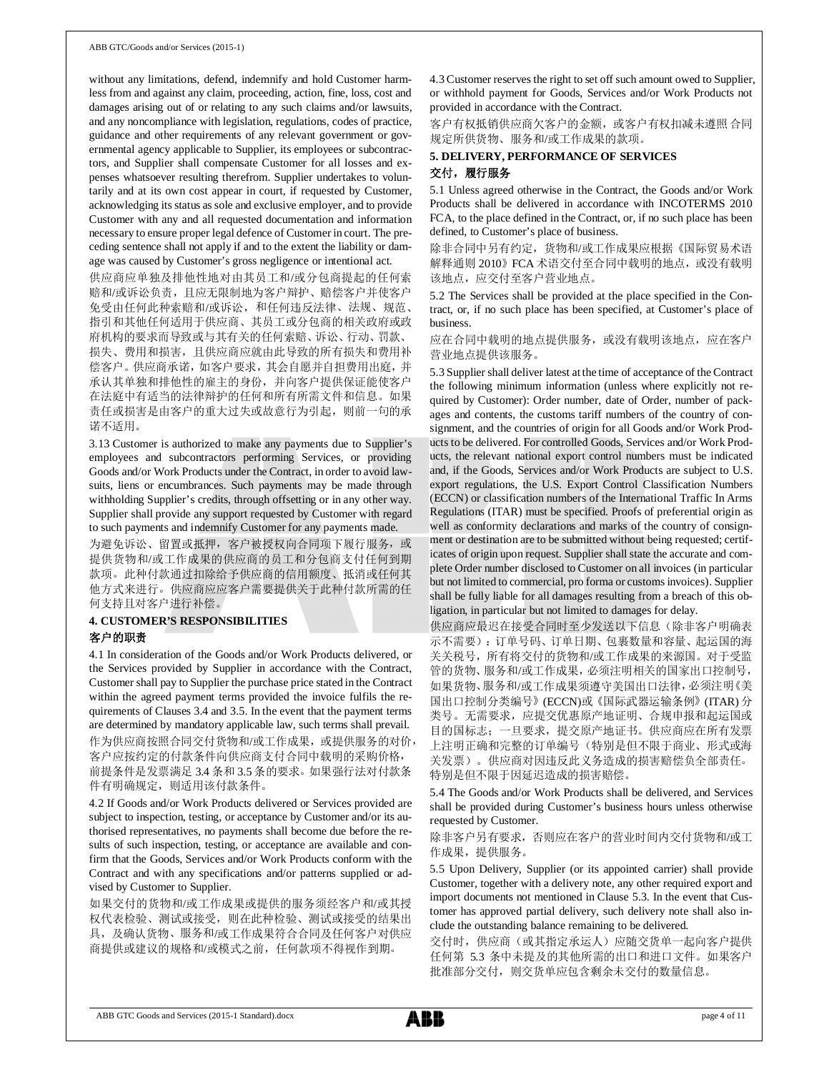without any limitations, defend, indemnify and hold Customer harmless from and against any claim, proceeding, action, fine, loss, cost and damages arising out of or relating to any such claims and/or lawsuits, and any noncompliance with legislation, regulations, codes of practice, guidance and other requirements of any relevant government or governmental agency applicable to Supplier, its employees or subcontractors, and Supplier shall compensate Customer for all losses and expenses whatsoever resulting therefrom. Supplier undertakes to voluntarily and at its own cost appear in court, if requested by Customer, acknowledging its status as sole and exclusive employer, and to provide Customer with any and all requested documentation and information necessary to ensure proper legal defence of Customer in court. The preceding sentence shall not apply if and to the extent the liability or damage was caused by Customer's gross negligence or intentional act.

供应商应单独及排他性地对由其员工和/或分包商提起的任何索 赔和/或诉讼负责,且应无限制地为客户辩护、赔偿客户并使客户 免受由任何此种索赔和/或诉讼,和任何违反法律、法规、规范、 指引和其他任何适用于供应商、其员工或分包商的相关政府或政 府机构的要求而导致或与其有关的任何索赔、诉讼、行动、罚款、 损失、费用和损害,且供应商应就由此导致的所有损失和费用补 偿客户。供应商承诺,如客户要求,其会自愿并自担费用出庭,并

承认其单独和排他性的雇主的身份,并向客户提供保证能使客户 在法庭中有适当的法律辩护的任何和所有所需文件和信息。如果 责任或损害是由客户的重大过失或故意行为引起,则前一句的承 诺不适用。

3.13 Customer is authorized to make any payments due to Supplier's employees and subcontractors performing Services, or providing Goods and/or Work Products under the Contract, in order to avoid lawsuits, liens or encumbrances. Such payments may be made through withholding Supplier's credits, through offsetting or in any other way. Supplier shall provide any support requested by Customer with regard to such payments and indemnify Customer for any payments made.

为避免诉讼、留置或抵押,客户被授权向合同项下履行服务,或 提供货物和/或工作成果的供应商的员工和分包商支付任何到期 款项。此种付款通过扣除给予供应商的信用额度、抵消或任何其 他方式来进行。供应商应应客户需要提供关于此种付款所需的任 何支持且对客户进行补偿。

### **4. CUSTOMER'S RESPONSIBILITIES** 客户的职责

4.1 In consideration of the Goods and/or Work Products delivered, or the Services provided by Supplier in accordance with the Contract, Customer shall pay to Supplier the purchase price stated in the Contract within the agreed payment terms provided the invoice fulfils the requirements of Clauses 3.4 and 3.5. In the event that the payment terms are determined by mandatory applicable law, such terms shall prevail. 作为供应商按照合同交付货物和/或工作成果,或提供服务的对价, 客户应按约定的付款条件向供应商支付合同中载明的采购价格, 前提条件是发票满足 3.4 条和 3.5 条的要求。如果强行法对付款条 件有明确规定,则适用该付款条件。

4.2 If Goods and/or Work Products delivered or Services provided are subject to inspection, testing, or acceptance by Customer and/or its authorised representatives, no payments shall become due before the results of such inspection, testing, or acceptance are available and confirm that the Goods, Services and/or Work Products conform with the Contract and with any specifications and/or patterns supplied or advised by Customer to Supplier.

如果交付的货物和/或工作成果或提供的服务须经客户和/或其授 权代表检验、测试或接受,则在此种检验、测试或接受的结果出 具,及确认货物、服务和/或工作成果符合合同及任何客户对供应 商提供或建议的规格和/或模式之前,任何款项不得视作到期。

4.3 Customer reserves the right to set off such amount owed to Supplier, or withhold payment for Goods, Services and/or Work Products not provided in accordance with the Contract.

客户有权抵销供应商欠客户的金额,或客户有权扣减未遵照合同 规定所供货物、服务和/或工作成果的款项。

# **5. DELIVERY, PERFORMANCE OF SERVICES** 交付,履行服务

5.1 Unless agreed otherwise in the Contract, the Goods and/or Work Products shall be delivered in accordance with INCOTERMS 2010 FCA, to the place defined in the Contract, or, if no such place has been defined, to Customer's place of business.

除非合同中另有约定,货物和/或工作成果应根据《国际贸易术语 解释通则 2010》 FCA 术语交付至合同中载明的地点,或没有载明 该地点,应交付至客户营业地点。

5.2 The Services shall be provided at the place specified in the Contract, or, if no such place has been specified, at Customer's place of business.

应在合同中载明的地点提供服务,或没有载明该地点,应在客户 营业地点提供该服务。

5.3 Supplier shall deliver latest at the time of acceptance of the Contract the following minimum information (unless where explicitly not required by Customer): Order number, date of Order, number of packages and contents, the customs tariff numbers of the country of consignment, and the countries of origin for all Goods and/or Work Products to be delivered. For controlled Goods, Services and/or Work Products, the relevant national export control numbers must be indicated and, if the Goods, Services and/or Work Products are subject to U.S. export regulations, the U.S. Export Control Classification Numbers (ECCN) or classification numbers of the International Traffic In Arms Regulations (ITAR) must be specified. Proofs of preferential origin as well as conformity declarations and marks of the country of consignment or destination are to be submitted without being requested; certificates of origin upon request. Supplier shall state the accurate and complete Order number disclosed to Customer on all invoices (in particular but not limited to commercial, pro forma or customs invoices). Supplier shall be fully liable for all damages resulting from a breach of this obligation, in particular but not limited to damages for delay.

供应商应最迟在接受合同时至少发送以下信息(除非客户明确表 示不需要):订单号码、订单日期、包裹数量和容量、起运国的海 关关税号,所有将交付的货物和/或工作成果的来源国。对于受监 管的货物、服务和/或工作成果,必须注明相关的国家出口控制号, 如果货物、服务和/或工作成果须遵守美国出口法律,必须注明《美 国出口控制分类编号》(ECCN)或《国际武器运输条例》(ITAR) 分 类号。无需要求,应提交优惠原产地证明、合规申报和起运国或 目的国标志;一旦要求,提交原产地证书。供应商应在所有发票 上注明正确和完整的订单编号(特别是但不限于商业、形式或海 关发票)。供应商对因违反此义务造成的损害赔偿负全部责任。 特别是但不限于因延迟造成的损害赔偿。

5.4 The Goods and/or Work Products shall be delivered, and Services shall be provided during Customer's business hours unless otherwise requested by Customer.

除非客户另有要求,否则应在客户的营业时间内交付货物和/或工 作成果,提供服务。

5.5 Upon Delivery, Supplier (or its appointed carrier) shall provide Customer, together with a delivery note, any other required export and import documents not mentioned in Clause 5.3. In the event that Customer has approved partial delivery, such delivery note shall also include the outstanding balance remaining to be delivered.

交付时,供应商(或其指定承运人)应随交货单一起向客户提供 任何第 5.3 条中未提及的其他所需的出口和进口文件。如果客户 批准部分交付,则交货单应包含剩余未交付的数量信息。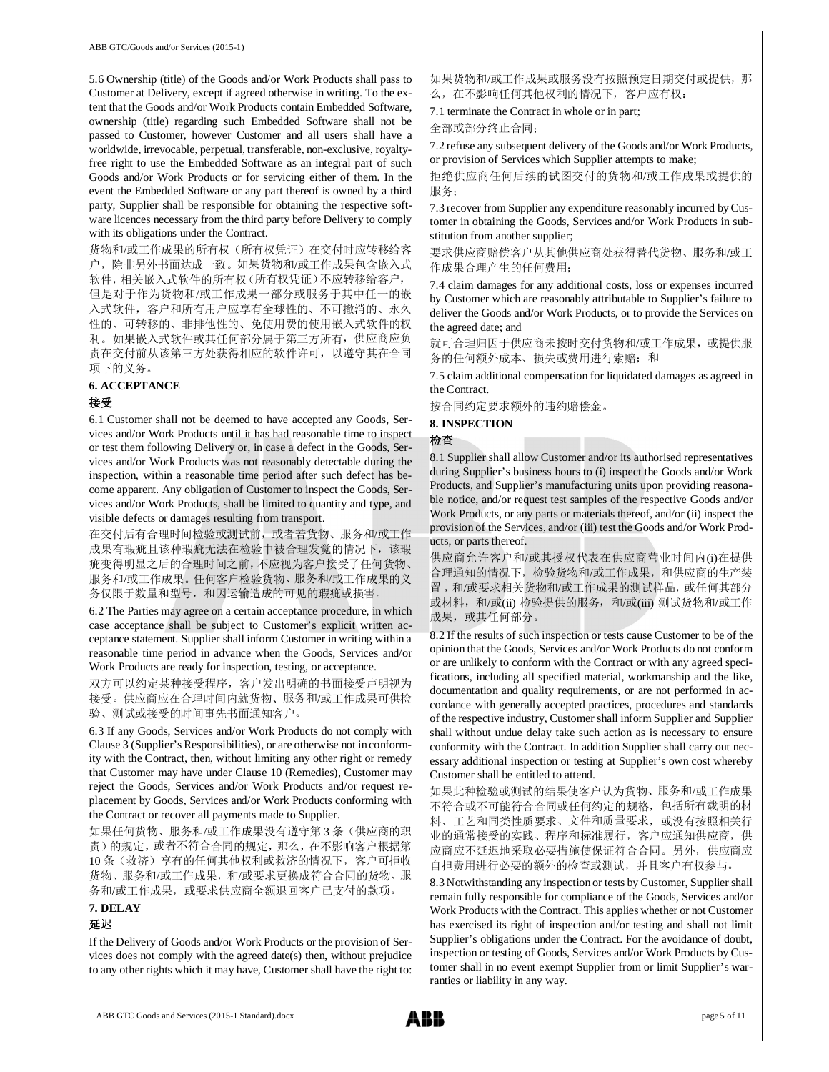ABB GTC/Goods and/or Services (2015-1)

5.6 Ownership (title) of the Goods and/or Work Products shall pass to Customer at Delivery, except if agreed otherwise in writing. To the extent that the Goods and/or Work Products contain Embedded Software, ownership (title) regarding such Embedded Software shall not be passed to Customer, however Customer and all users shall have a worldwide, irrevocable, perpetual, transferable, non-exclusive, royaltyfree right to use the Embedded Software as an integral part of such Goods and/or Work Products or for servicing either of them. In the event the Embedded Software or any part thereof is owned by a third party, Supplier shall be responsible for obtaining the respective software licences necessary from the third party before Delivery to comply with its obligations under the Contract.

货物和/或工作成果的所有权(所有权凭证)在交付时应转移给客 户,除非另外书面达成一致。如果货物和/或工作成果包含嵌入式 软件,相关嵌入式软件的所有权(所有权凭证)不应转移给客户, 但是对于作为货物和/或工作成果一部分或服务于其中任一的嵌 入式软件,客户和所有用户应享有全球性的、不可撤消的、永久 性的、可转移的、非排他性的、免使用费的使用嵌入式软件的权 利。如果嵌入式软件或其任何部分属于第三方所有,供应商应负 责在交付前从该第三方处获得相应的软件许可,以遵守其在合同 项下的义务。

### **6. ACCEPTANCE**

### 接受

6.1 Customer shall not be deemed to have accepted any Goods, Services and/or Work Products until it has had reasonable time to inspect or test them following Delivery or, in case a defect in the Goods, Services and/or Work Products was not reasonably detectable during the inspection, within a reasonable time period after such defect has become apparent. Any obligation of Customer to inspect the Goods, Services and/or Work Products, shall be limited to quantity and type, and visible defects or damages resulting from transport.

在交付后有合理时间检验或测试前,或者若货物、服务和/或工作 成果有瑕疵且该种瑕疵无法在检验中被合理发觉的情况下,该瑕 疵变得明显之后的合理时间之前,不应视为客户接受了任何货物、 服务和/或工作成果。任何客户检验货物、服务和/或工作成果的义 务仅限于数量和型号,和因运输造成的可见的瑕疵或损害。

6.2 The Parties may agree on a certain acceptance procedure, in which case acceptance shall be subject to Customer's explicit written acceptance statement. Supplier shall inform Customer in writing within a reasonable time period in advance when the Goods, Services and/or Work Products are ready for inspection, testing, or acceptance.

双方可以约定某种接受程序,客户发出明确的书面接受声明视为 接受。供应商应在合理时间内就货物、服务和/或工作成果可供检 验、测试或接受的时间事先书面通知客户。

6.3 If any Goods, Services and/or Work Products do not comply with Clause 3 (Supplier's Responsibilities), or are otherwise not in conformity with the Contract, then, without limiting any other right or remedy that Customer may have under Clause 10 (Remedies), Customer may reject the Goods, Services and/or Work Products and/or request replacement by Goods, Services and/or Work Products conforming with the Contract or recover all payments made to Supplier.

如果任何货物、服务和/或工作成果没有遵守第 3 条(供应商的职 责)的规定,或者不符合合同的规定,那么,在不影响客户根据第 10 条(救济)享有的任何其他权利或救济的情况下,客户可拒收 货物、服务和/或工作成果,和/或要求更换成符合合同的货物、服 务和/或工作成果,或要求供应商全额退回客户已支付的款项。

### **7. DELAY** 延迟

### If the Delivery of Goods and/or Work Products or the provision of Services does not comply with the agreed date(s) then, without prejudice to any other rights which it may have, Customer shall have the right to:

如果货物和/或工作成果或服务没有按照预定日期交付或提供,那 么,在不影响任何其他权利的情况下,客户应有权:

7.1 terminate the Contract in whole or in part;

全部或部分终止合同;

7.2 refuse any subsequent delivery of the Goods and/or Work Products, or provision of Services which Supplier attempts to make;

拒绝供应商任何后续的试图交付的货物和/或工作成果或提供的 服务;

7.3 recover from Supplier any expenditure reasonably incurred by Customer in obtaining the Goods, Services and/or Work Products in substitution from another supplier;

要求供应商赔偿客户从其他供应商处获得替代货物、服务和/或工 作成果合理产生的任何费用;

7.4 claim damages for any additional costs, loss or expenses incurred by Customer which are reasonably attributable to Supplier's failure to deliver the Goods and/or Work Products, or to provide the Services on the agreed date; and

就可合理归因于供应商未按时交付货物和/或工作成果,或提供服 务的任何额外成本、损失或费用进行索赔;和

7.5 claim additional compensation for liquidated damages as agreed in the Contract.

按合同约定要求额外的违约赔偿金。

# **8. INSPECTION**

### 检查

8.1 Supplier shall allow Customer and/or its authorised representatives during Supplier's business hours to (i) inspect the Goods and/or Work Products, and Supplier's manufacturing units upon providing reasonable notice, and/or request test samples of the respective Goods and/or Work Products, or any parts or materials thereof, and/or (ii) inspect the provision of the Services, and/or (iii) test the Goods and/or Work Products, or parts thereof.

供应商允许客户和/或其授权代表在供应商营业时间内(i)在提供 合理通知的情况下,检验货物和/或工作成果,和供应商的生产装 置 ,和/或要求相关货物和/或工作成果的测试样品,或任何其部分 或材料, 和/或(ii) 检验提供的服务, 和/或(iii) 测试货物和/或工作 成果, 或其任何部分。

8.2 If the results of such inspection or tests cause Customer to be of the opinion that the Goods, Services and/or Work Products do not conform or are unlikely to conform with the Contract or with any agreed specifications, including all specified material, workmanship and the like, documentation and quality requirements, or are not performed in accordance with generally accepted practices, procedures and standards of the respective industry, Customer shall inform Supplier and Supplier shall without undue delay take such action as is necessary to ensure conformity with the Contract. In addition Supplier shall carry out necessary additional inspection or testing at Supplier's own cost whereby Customer shall be entitled to attend.

如果此种检验或测试的结果使客户认为货物、服务和/或工作成果 不符合或不可能符合合同或任何约定的规格,包括所有载明的材 料、工艺和同类性质要求、文件和质量要求,或没有按照相关行 业的通常接受的实践、程序和标准履行,客户应通知供应商,供 应商应不延迟地采取必要措施使保证符合合同。另外,供应商应 自担费用进行必要的额外的检查或测试,并且客户有权参与。

8.3 Notwithstanding any inspection or tests by Customer, Supplier shall remain fully responsible for compliance of the Goods, Services and/or Work Products with the Contract. This applies whether or not Customer has exercised its right of inspection and/or testing and shall not limit Supplier's obligations under the Contract. For the avoidance of doubt, inspection or testing of Goods, Services and/or Work Products by Customer shall in no event exempt Supplier from or limit Supplier's warranties or liability in any way.

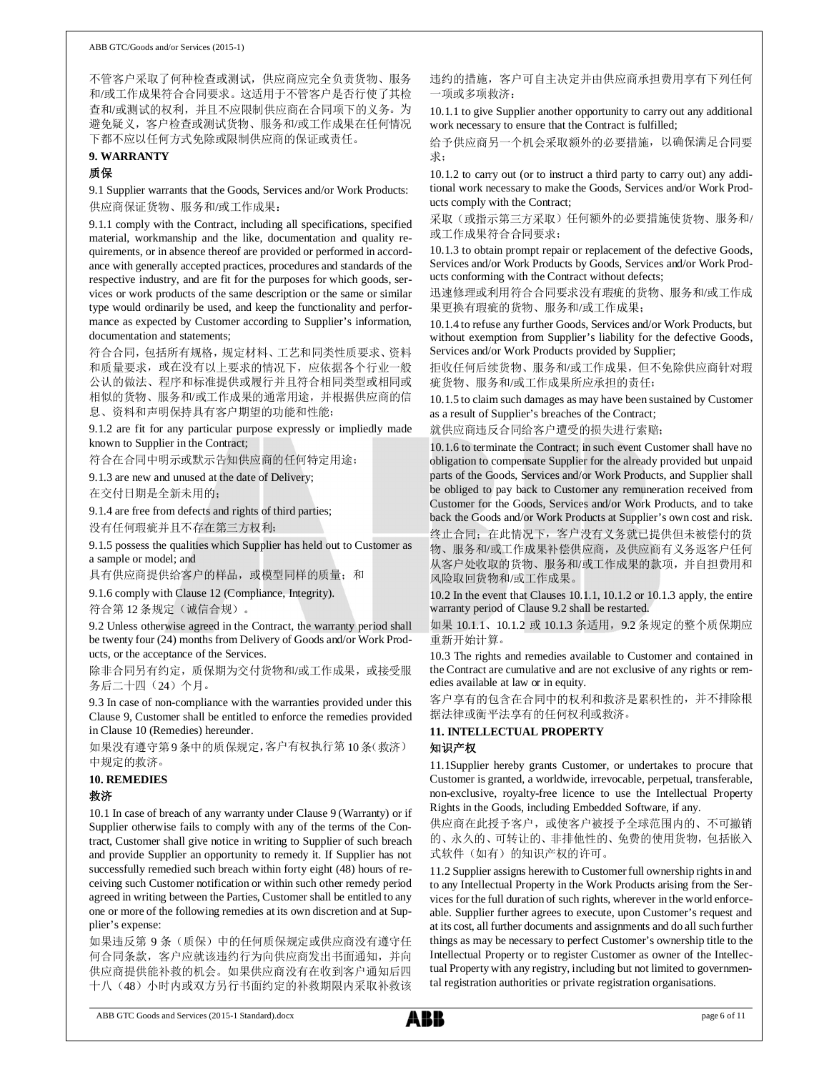不管客户采取了何种检查或测试,供应商应完全负责货物、服务 和/或工作成果符合合同要求。这适用于不管客户是否行使了其检 查和/或测试的权利,并且不应限制供应商在合同项下的义务。为 避免疑义,客户检查或测试货物、服务和/或工作成果在任何情况 下都不应以任何方式免除或限制供应商的保证或责任。

# **9. WARRANTY**

### 质保

9.1 Supplier warrants that the Goods, Services and/or Work Products: 供应商保证货物、服务和/或工作成果:

9.1.1 comply with the Contract, including all specifications, specified material, workmanship and the like, documentation and quality requirements, or in absence thereof are provided or performed in accordance with generally accepted practices, procedures and standards of the respective industry, and are fit for the purposes for which goods, services or work products of the same description or the same or similar type would ordinarily be used, and keep the functionality and performance as expected by Customer according to Supplier's information, documentation and statements;

符合合同,包括所有规格,规定材料、工艺和同类性质要求、资料 和质量要求,或在没有以上要求的情况下,应依据各个行业一般 公认的做法、程序和标准提供或履行并且符合相同类型或相同或 相似的货物、服务和/或工作成果的通常用途,并根据供应商的信 息、资料和声明保持具有客户期望的功能和性能;

9.1.2 are fit for any particular purpose expressly or impliedly made known to Supplier in the Contract;

符合在合同中明示或默示告知供应商的任何特定用途;

9.1.3 are new and unused at the date of Delivery;

在交付日期是全新未用的;

9.1.4 are free from defects and rights of third parties;

没有任何瑕疵并且不存在第三方权利;

9.1.5 possess the qualities which Supplier has held out to Customer as a sample or model; and

具有供应商提供给客户的样品,或模型同样的质量;和

9.1.6 comply with Clause 12 (Compliance, Integrity).

符合第12条规定(诚信合规)。

9.2 Unless otherwise agreed in the Contract, the warranty period shall be twenty four (24) months from Delivery of Goods and/or Work Products, or the acceptance of the Services.

除非合同另有约定,质保期为交付货物和/或工作成果,或接受服 务后二十四(24)个月。

9.3 In case of non-compliance with the warranties provided under this Clause 9, Customer shall be entitled to enforce the remedies provided in Clause 10 (Remedies) hereunder.

如果没有遵守第9 条中的质保规定,客户有权执行第 10条(救济) 中规定的救济。

### **10. REMEDIES**

### 救济

10.1 In case of breach of any warranty under Clause 9 (Warranty) or if Supplier otherwise fails to comply with any of the terms of the Contract, Customer shall give notice in writing to Supplier of such breach and provide Supplier an opportunity to remedy it. If Supplier has not successfully remedied such breach within forty eight (48) hours of receiving such Customer notification or within such other remedy period agreed in writing between the Parties, Customer shall be entitled to any one or more of the following remedies at its own discretion and at Supplier's expense:

如果违反第 9 条(质保)中的任何质保规定或供应商没有遵守任 何合同条款,客户应就该违约行为向供应商发出书面通知,并向 供应商提供能补救的机会。如果供应商没有在收到客户通知后四 十八(48)小时内或双方另行书面约定的补救期限内采取补救该 违约的措施,客户可自主决定并由供应商承担费用享有下列任何 一项或多项救济:

10.1.1 to give Supplier another opportunity to carry out any additional work necessary to ensure that the Contract is fulfilled;

给予供应商另一个机会采取额外的必要措施,以确保满足合同要 求;

10.1.2 to carry out (or to instruct a third party to carry out) any additional work necessary to make the Goods, Services and/or Work Products comply with the Contract;

采取(或指示第三方采取)任何额外的必要措施使货物、服务和/ 或工作成果符合合同要求;

10.1.3 to obtain prompt repair or replacement of the defective Goods, Services and/or Work Products by Goods, Services and/or Work Products conforming with the Contract without defects;

迅速修理或利用符合合同要求没有瑕疵的货物、服务和/或工作成 果更换有瑕疵的货物、服务和/或工作成果;

10.1.4 to refuse any further Goods, Services and/or Work Products, but without exemption from Supplier's liability for the defective Goods, Services and/or Work Products provided by Supplier;

拒收任何后续货物、服务和/或工作成果,但不免除供应商针对瑕 疵货物、服务和/或工作成果所应承担的责任;

10.1.5 to claim such damages as may have been sustained by Customer as a result of Supplier's breaches of the Contract;

就供应商违反合同给客户遭受的损失进行索赔;

10.1.6 to terminate the Contract; in such event Customer shall have no obligation to compensate Supplier for the already provided but unpaid parts of the Goods, Services and/or Work Products, and Supplier shall be obliged to pay back to Customer any remuneration received from Customer for the Goods, Services and/or Work Products, and to take back the Goods and/or Work Products at Supplier's own cost and risk. 终止合同;在此情况下,客户没有义务就已提供但未被偿付的货 物、服务和/或工作成果补偿供应商,及供应商有义务返客户任何 从客户处收取的货物、服务和/或工作成果的款项,并自担费用和 风险取回货物和/或工作成果。

10.2 In the event that Clauses 10.1.1, 10.1.2 or 10.1.3 apply, the entire warranty period of Clause 9.2 shall be restarted.

如果 10.1.1、10.1.2 或 10.1.3 条适用,9.2 条规定的整个质保期应 重新开始计算。

10.3 The rights and remedies available to Customer and contained in the Contract are cumulative and are not exclusive of any rights or remedies available at law or in equity.

客户享有的包含在合同中的权利和救济是累积性的,并不排除根 据法律或衡平法享有的任何权利或救济。

**11. INTELLECTUAL PROPERTY**

### 知识产权

11.1Supplier hereby grants Customer, or undertakes to procure that Customer is granted, a worldwide, irrevocable, perpetual, transferable, non-exclusive, royalty-free licence to use the Intellectual Property Rights in the Goods, including Embedded Software, if any.

供应商在此授予客户,或使客户被授予全球范围内的、不可撤销 的、永久的、可转让的、非排他性的、免费的使用货物,包括嵌入 式软件(如有)的知识产权的许可。

11.2 Supplier assigns herewith to Customer full ownership rights in and to any Intellectual Property in the Work Products arising from the Services for the full duration of such rights, wherever in the world enforceable. Supplier further agrees to execute, upon Customer's request and at its cost, all further documents and assignments and do all such further things as may be necessary to perfect Customer's ownership title to the Intellectual Property or to register Customer as owner of the Intellectual Property with any registry, including but not limited to governmental registration authorities or private registration organisations.

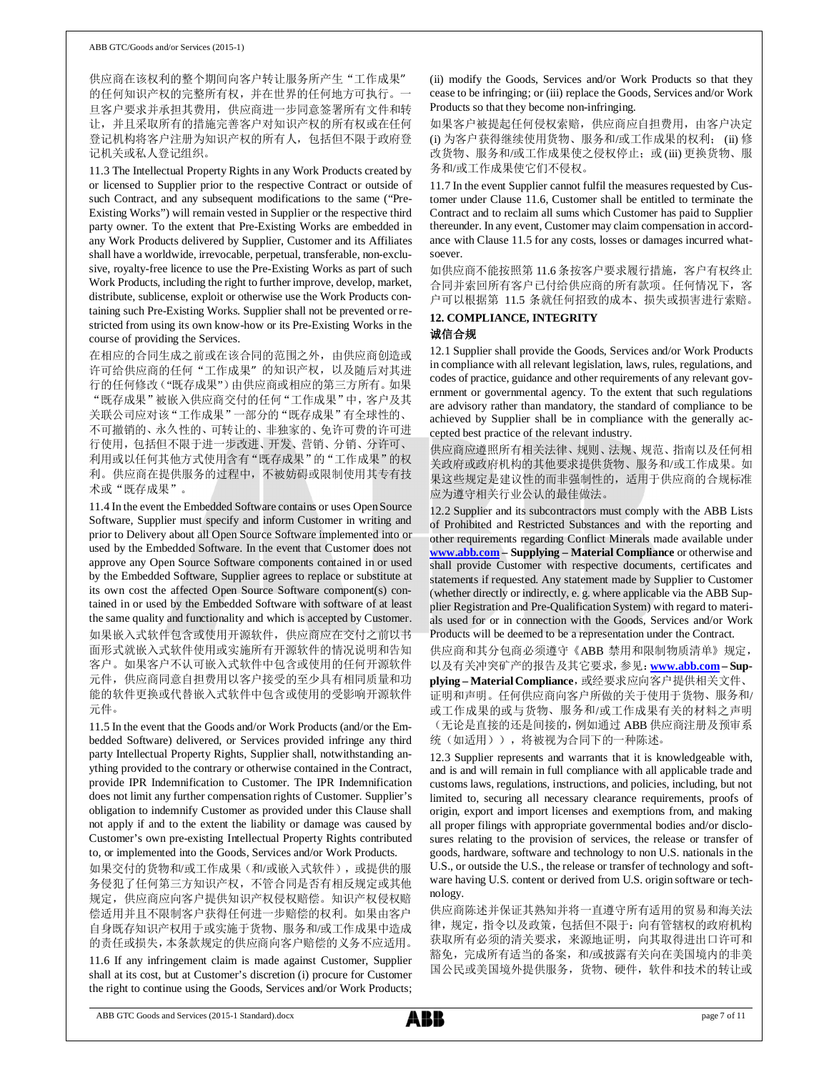供应商在该权利的整个期间向客户转让服务所产生"工作成果" 的任何知识产权的完整所有权,并在世界的任何地方可执行。一 旦客户要求并承担其费用,供应商进一步同意签署所有文件和转 让,并且采取所有的措施完善客户对知识产权的所有权或在任何 登记机构将客户注册为知识产权的所有人,包括但不限于政府登 记机关或私人登记组织。

11.3 The Intellectual Property Rights in any Work Products created by or licensed to Supplier prior to the respective Contract or outside of such Contract, and any subsequent modifications to the same ("Pre-Existing Works") will remain vested in Supplier or the respective third party owner. To the extent that Pre-Existing Works are embedded in any Work Products delivered by Supplier, Customer and its Affiliates shall have a worldwide, irrevocable, perpetual, transferable, non-exclusive, royalty-free licence to use the Pre-Existing Works as part of such Work Products, including the right to further improve, develop, market, distribute, sublicense, exploit or otherwise use the Work Products containing such Pre-Existing Works. Supplier shall not be prevented or restricted from using its own know-how or its Pre-Existing Works in the course of providing the Services.

在相应的合同生成之前或在该合同的范围之外,由供应商创造或 许可给供应商的任何"工作成果"的知识产权,以及随后对其进 行的任何修改("既存成果")由供应商或相应的第三方所有。如果 "既存成果"被嵌入供应商交付的任何"工作成果"中,客户及其 关联公司应对该"工作成果"一部分的"既存成果"有全球性的、 不可撤销的、永久性的、可转让的、非独家的、免许可费的许可进 行使用,包括但不限于进一步改进、开发、营销、分销、分许可、 利用或以任何其他方式使用含有"既存成果"的"工作成果"的权 利。供应商在提供服务的过程中,不被妨碍或限制使用其专有技 术或"既存成果"。

11.4 In the event the Embedded Software contains or uses Open Source Software, Supplier must specify and inform Customer in writing and prior to Delivery about all Open Source Software implemented into or used by the Embedded Software. In the event that Customer does not approve any Open Source Software components contained in or used by the Embedded Software, Supplier agrees to replace or substitute at its own cost the affected Open Source Software component(s) contained in or used by the Embedded Software with software of at least the same quality and functionality and which is accepted by Customer. 如果嵌入式软件包含或使用开源软件,供应商应在交付之前以书 面形式就嵌入式软件使用或实施所有开源软件的情况说明和告知 客户。如果客户不认可嵌入式软件中包含或使用的任何开源软件 元件,供应商同意自担费用以客户接受的至少具有相同质量和功 能的软件更换或代替嵌入式软件中包含或使用的受影响开源软件 元件。

11.5 In the event that the Goods and/or Work Products (and/or the Embedded Software) delivered, or Services provided infringe any third party Intellectual Property Rights, Supplier shall, notwithstanding anything provided to the contrary or otherwise contained in the Contract, provide IPR Indemnification to Customer. The IPR Indemnification does not limit any further compensation rights of Customer. Supplier's obligation to indemnify Customer as provided under this Clause shall not apply if and to the extent the liability or damage was caused by Customer's own pre-existing Intellectual Property Rights contributed to, or implemented into the Goods, Services and/or Work Products.

如果交付的货物和/或工作成果(和/或嵌入式软件),或提供的服 务侵犯了任何第三方知识产权,不管合同是否有相反规定或其他 规定,供应商应向客户提供知识产权侵权赔偿。知识产权侵权赔 偿适用并且不限制客户获得任何进一步赔偿的权利。如果由客户 自身既存知识产权用于或实施于货物、服务和/或工作成果中造成 的责任或损失,本条款规定的供应商向客户赔偿的义务不应适用。

11.6 If any infringement claim is made against Customer, Supplier shall at its cost, but at Customer's discretion (i) procure for Customer the right to continue using the Goods, Services and/or Work Products;

(ii) modify the Goods, Services and/or Work Products so that they cease to be infringing; or (iii) replace the Goods, Services and/or Work Products so that they become non-infringing.

如果客户被提起任何侵权索赔,供应商应自担费用,由客户决定 (i) 为客户获得继续使用货物、服务和/或工作成果的权利; (ii) 修 改货物、服务和/或工作成果使之侵权停止; 或(iii) 更换货物、服 务和/或工作成果使它们不侵权。

11.7 In the event Supplier cannot fulfil the measures requested by Customer under Clause 11.6, Customer shall be entitled to terminate the Contract and to reclaim all sums which Customer has paid to Supplier thereunder. In any event, Customer may claim compensation in accordance with Clause 11.5 for any costs, losses or damages incurred whatsoever.

如供应商不能按照第 11.6 条按客户要求履行措施,客户有权终止 合同并索回所有客户已付给供应商的所有款项。任何情况下,客 户可以根据第 11.5 条就任何招致的成本、损失或损害进行索赔。

# **12. COMPLIANCE, INTEGRITY**

# 诚信合规

12.1 Supplier shall provide the Goods, Services and/or Work Products in compliance with all relevant legislation, laws, rules, regulations, and codes of practice, guidance and other requirements of any relevant government or governmental agency. To the extent that such regulations are advisory rather than mandatory, the standard of compliance to be achieved by Supplier shall be in compliance with the generally accepted best practice of the relevant industry.

供应商应遵照所有相关法律、规则、法规、规范、指南以及任何相 关政府或政府机构的其他要求提供货物、服务和/或工作成果。如 果这些规定是建议性的而非强制性的,适用于供应商的合规标准 应为遵守相关行业公认的最佳做法。

12.2 Supplier and its subcontractors must comply with the ABB Lists of Prohibited and Restricted Substances and with the reporting and other requirements regarding Conflict Minerals made available under **www.abb.com – Supplying – Material Compliance** or otherwise and shall provide Customer with respective documents, certificates and statements if requested. Any statement made by Supplier to Customer (whether directly or indirectly, e. g. where applicable via the ABB Supplier Registration and Pre-Qualification System) with regard to materials used for or in connection with the Goods, Services and/or Work Products will be deemed to be a representation under the Contract.

供应商和其分包商必须遵守《ABB 禁用和限制物质清单》规定, 以及有关冲突矿产的报告及其它要求,参见:**www.abb.com – Sup-**

plying - Material Compliance, 或经要求应向客户提供相关文件、 证明和声明。任何供应商向客户所做的关于使用于货物、服务和/ 或工作成果的或与货物、服务和/或工作成果有关的材料之声明 (无论是直接的还是间接的,例如通过 ABB 供应商注册及预审系 统(如适用)),将被视为合同下的一种陈述。

12.3 Supplier represents and warrants that it is knowledgeable with, and is and will remain in full compliance with all applicable trade and customs laws, regulations, instructions, and policies, including, but not limited to, securing all necessary clearance requirements, proofs of origin, export and import licenses and exemptions from, and making all proper filings with appropriate governmental bodies and/or disclosures relating to the provision of services, the release or transfer of goods, hardware, software and technology to non U.S. nationals in the U.S., or outside the U.S., the release or transfer of technology and software having U.S. content or derived from U.S. origin software or technology.

供应商陈述并保证其熟知并将一直遵守所有适用的贸易和海关法 律,规定,指令以及政策,包括但不限于:向有管辖权的政府机构 获取所有必须的清关要求,来源地证明,向其取得进出口许可和 豁免,完成所有适当的备案,和/或披露有关向在美国境内的非美 国公民或美国境外提供服务,货物、硬件,软件和技术的转让或

ABB GTC Goods and Services (2015-1 Standard).docx page 7 of 11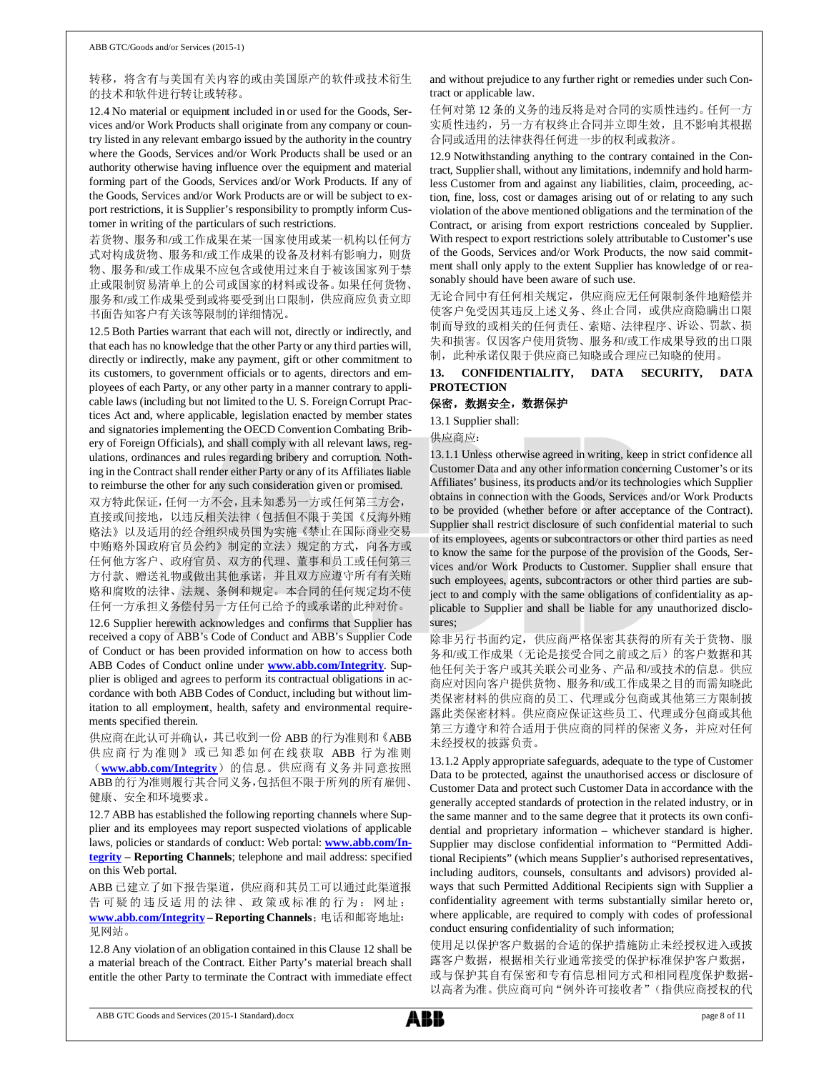## 转移,将含有与美国有关内容的或由美国原产的软件或技术衍生 的技术和软件进行转让或转移。

12.4 No material or equipment included in or used for the Goods, Services and/or Work Products shall originate from any company or country listed in any relevant embargo issued by the authority in the country where the Goods, Services and/or Work Products shall be used or an authority otherwise having influence over the equipment and material forming part of the Goods, Services and/or Work Products. If any of the Goods, Services and/or Work Products are or will be subject to export restrictions, it is Supplier's responsibility to promptly inform Customer in writing of the particulars of such restrictions.

若货物、服务和/或工作成果在某一国家使用或某一机构以任何方 式对构成货物、服务和/或工作成果的设备及材料有影响力,则货 物、服务和/或工作成果不应包含或使用过来自于被该国家列于禁 止或限制贸易清单上的公司或国家的材料或设备。如果任何货物、 服务和/或工作成果受到或将要受到出口限制,供应商应负责立即 书面告知客户有关该等限制的详细情况。

12.5 Both Parties warrant that each will not, directly or indirectly, and that each has no knowledge that the other Party or any third parties will, directly or indirectly, make any payment, gift or other commitment to its customers, to government officials or to agents, directors and employees of each Party, or any other party in a manner contrary to applicable laws (including but not limited to the U. S. Foreign Corrupt Practices Act and, where applicable, legislation enacted by member states and signatories implementing the OECD Convention Combating Bribery of Foreign Officials), and shall comply with all relevant laws, regulations, ordinances and rules regarding bribery and corruption. Nothing in the Contract shall render either Party or any of its Affiliates liable to reimburse the other for any such consideration given or promised.

双方特此保证,任何一方不会,且未知悉另一方或任何第三方会, 直接或间接地,以违反相关法律(包括但不限于美国《反海外贿 赂法》以及适用的经合组织成员国为实施《禁止在国际商业交易 中贿赂外国政府官员公约》制定的立法)规定的方式,向各方或 任何他方客户、政府官员、双方的代理、董事和员工或任何第三 方付款、赠送礼物或做出其他承诺,并且双方应遵守所有有关贿 赂和腐败的法律、法规、条例和规定。本合同的任何规定均不使 任何一方承担义务偿付另一方任何已给予的或承诺的此种对价。

12.6 Supplier herewith acknowledges and confirms that Supplier has received a copy of ABB's Code of Conduct and ABB's Supplier Code of Conduct or has been provided information on how to access both ABB Codes of Conduct online under **www.abb.com/Integrity**. Supplier is obliged and agrees to perform its contractual obligations in accordance with both ABB Codes of Conduct, including but without limitation to all employment, health, safety and environmental requirements specified therein.

供应商在此认可并确认,其已收到一份 ABB 的行为准则和《ABB 供应商行为准则》或已知悉如何在线获取 ABB 行为准则 (**www.abb.com/Integrity**)的信息。供应商有义务并同意按照 ABB的行为准则履行其合同义务,包括但不限于所列的所有雇佣、 健康、安全和环境要求。

12.7 ABB has established the following reporting channels where Supplier and its employees may report suspected violations of applicable laws, policies or standards of conduct: Web portal: **www.abb.com/Integrity – Reporting Channels**; telephone and mail address: specified on this Web portal.

ABB 已建立了如下报告渠道,供应商和其员工可以通过此渠道报 告可疑的违反适用的法律、政策或标准的行为:网址: **www.abb.com/Integrity – Reporting Channels**;电话和邮寄地址: 见网站。

12.8 Any violation of an obligation contained in this Clause 12 shall be a material breach of the Contract. Either Party's material breach shall entitle the other Party to terminate the Contract with immediate effect and without prejudice to any further right or remedies under such Contract or applicable law.

任何对第 12 条的义务的违反将是对合同的实质性违约。任何一方 实质性违约,另一方有权终止合同并立即生效,且不影响其根据 合同或适用的法律获得任何进一步的权利或救济。

12.9 Notwithstanding anything to the contrary contained in the Contract, Supplier shall, without any limitations, indemnify and hold harmless Customer from and against any liabilities, claim, proceeding, action, fine, loss, cost or damages arising out of or relating to any such violation of the above mentioned obligations and the termination of the Contract, or arising from export restrictions concealed by Supplier. With respect to export restrictions solely attributable to Customer's use of the Goods, Services and/or Work Products, the now said commitment shall only apply to the extent Supplier has knowledge of or reasonably should have been aware of such use.

无论合同中有任何相关规定,供应商应无任何限制条件地赔偿并 使客户免受因其违反上述义务、终止合同,或供应商隐瞒出口限 制而导致的或相关的任何责任、索赔、法律程序、诉讼、罚款、损 失和损害。仅因客户使用货物、服务和/或工作成果导致的出口限 制,此种承诺仅限于供应商已知晓或合理应已知晓的使用。

# **13. CONFIDENTIALITY, DATA SECURITY, DATA PROTECTION**

## 保密,数据安全,数据保护

13.1 Supplier shall:

供应商应:

13.1.1 Unless otherwise agreed in writing, keep in strict confidence all Customer Data and any other information concerning Customer's or its Affiliates' business, its products and/or its technologies which Supplier obtains in connection with the Goods, Services and/or Work Products to be provided (whether before or after acceptance of the Contract). Supplier shall restrict disclosure of such confidential material to such of its employees, agents or subcontractors or other third parties as need to know the same for the purpose of the provision of the Goods, Services and/or Work Products to Customer. Supplier shall ensure that such employees, agents, subcontractors or other third parties are subject to and comply with the same obligations of confidentiality as applicable to Supplier and shall be liable for any unauthorized disclosures;

除非另行书面约定,供应商严格保密其获得的所有关于货物、服 务和/或工作成果(无论是接受合同之前或之后)的客户数据和其 他任何关于客户或其关联公司业务、产品和/或技术的信息。供应 商应对因向客户提供货物、服务和/或工作成果之目的而需知晓此 类保密材料的供应商的员工、代理或分包商或其他第三方限制披 露此类保密材料。供应商应保证这些员工、代理或分包商或其他 第三方遵守和符合适用于供应商的同样的保密义务,并应对任何 未经授权的披露负责。

13.1.2 Apply appropriate safeguards, adequate to the type of Customer Data to be protected, against the unauthorised access or disclosure of Customer Data and protect such Customer Data in accordance with the generally accepted standards of protection in the related industry, or in the same manner and to the same degree that it protects its own confidential and proprietary information – whichever standard is higher. Supplier may disclose confidential information to "Permitted Additional Recipients" (which means Supplier's authorised representatives, including auditors, counsels, consultants and advisors) provided always that such Permitted Additional Recipients sign with Supplier a confidentiality agreement with terms substantially similar hereto or, where applicable, are required to comply with codes of professional conduct ensuring confidentiality of such information;

使用足以保护客户数据的合适的保护措施防止未经授权进入或披 露客户数据,根据相关行业通常接受的保护标准保护客户数据, 或与保护其自有保密和专有信息相同方式和相同程度保护数据-以高者为准。供应商可向"例外许可接收者"(指供应商授权的代

ABB GTC Goods and Services (2015-1 Standard).docx page 8 of 11

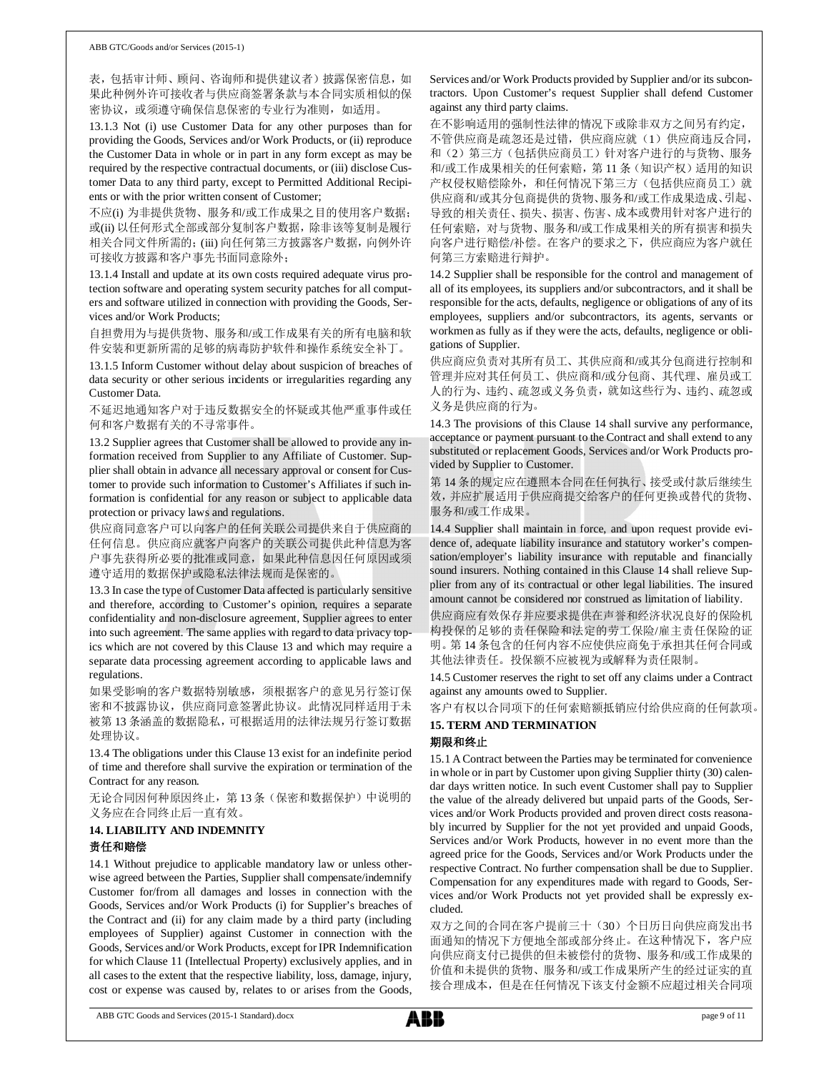表,包括审计师、顾问、咨询师和提供建议者)披露保密信息,如 果此种例外许可接收者与供应商签署条款与本合同实质相似的保 密协议, 或须遵守确保信息保密的专业行为准则, 如适用。

13.1.3 Not (i) use Customer Data for any other purposes than for providing the Goods, Services and/or Work Products, or (ii) reproduce the Customer Data in whole or in part in any form except as may be required by the respective contractual documents, or (iii) disclose Customer Data to any third party, except to Permitted Additional Recipients or with the prior written consent of Customer;

不应(i) 为非提供货物、服务和/或工作成果之目的使用客户数据; 或(ii) 以任何形式全部或部分复制客户数据,除非该等复制是履行 相关合同文件所需的;(iii) 向任何第三方披露客户数据,向例外许 可接收方披露和客户事先书面同意除外;

13.1.4 Install and update at its own costs required adequate virus protection software and operating system security patches for all computers and software utilized in connection with providing the Goods, Services and/or Work Products;

自担费用为与提供货物、服务和/或工作成果有关的所有电脑和软 件安装和更新所需的足够的病毒防护软件和操作系统安全补丁。

13.1.5 Inform Customer without delay about suspicion of breaches of data security or other serious incidents or irregularities regarding any Customer Data.

不延迟地通知客户对于违反数据安全的怀疑或其他严重事件或任 何和客户数据有关的不寻常事件。

13.2 Supplier agrees that Customer shall be allowed to provide any information received from Supplier to any Affiliate of Customer. Supplier shall obtain in advance all necessary approval or consent for Customer to provide such information to Customer's Affiliates if such information is confidential for any reason or subject to applicable data protection or privacy laws and regulations.

供应商同意客户可以向客户的任何关联公司提供来自于供应商的 任何信息。供应商应就客户向客户的关联公司提供此种信息为客 户事先获得所必要的批准或同意,如果此种信息因任何原因或须 遵守适用的数据保护或隐私法律法规而是保密的。

13.3 In case the type of Customer Data affected is particularly sensitive and therefore, according to Customer's opinion, requires a separate confidentiality and non-disclosure agreement, Supplier agrees to enter into such agreement. The same applies with regard to data privacy topics which are not covered by this Clause 13 and which may require a separate data processing agreement according to applicable laws and regulations.

如果受影响的客户数据特别敏感,须根据客户的意见另行签订保 密和不披露协议,供应商同意签署此协议。此情况同样适用于未 被第 13 条涵盖的数据隐私,可根据适用的法律法规另行签订数据 处理协议。

13.4 The obligations under this Clause 13 exist for an indefinite period of time and therefore shall survive the expiration or termination of the Contract for any reason.

无论合同因何种原因终止, 第13条(保密和数据保护)中说明的 义务应在合同终止后一直有效。

# **14. LIABILITY AND INDEMNITY** 责任和赔偿

14.1 Without prejudice to applicable mandatory law or unless otherwise agreed between the Parties, Supplier shall compensate/indemnify Customer for/from all damages and losses in connection with the Goods, Services and/or Work Products (i) for Supplier's breaches of the Contract and (ii) for any claim made by a third party (including employees of Supplier) against Customer in connection with the Goods, Services and/or Work Products, except for IPR Indemnification for which Clause 11 (Intellectual Property) exclusively applies, and in all cases to the extent that the respective liability, loss, damage, injury, cost or expense was caused by, relates to or arises from the Goods,

Services and/or Work Products provided by Supplier and/or its subcontractors. Upon Customer's request Supplier shall defend Customer against any third party claims.

在不影响适用的强制性法律的情况下或除非双方之间另有约定, 不管供应商是疏忽还是过错,供应商应就(1)供应商违反合同, 和(2)第三方(包括供应商员工)针对客户进行的与货物、服务 和/或工作成果相关的任何索赔,第 11 条(知识产权)适用的知识 产权侵权赔偿除外,和任何情况下第三方(包括供应商员工)就 供应商和/或其分包商提供的货物、服务和/或工作成果造成、引起、 导致的相关责任、损失、损害、伤害、成本或费用针对客户进行的 任何索赔,对与货物、服务和/或工作成果相关的所有损害和损失 向客户进行赔偿/补偿。在客户的要求之下,供应商应为客户就任 何第三方索赔进行辩护。

14.2 Supplier shall be responsible for the control and management of all of its employees, its suppliers and/or subcontractors, and it shall be responsible for the acts, defaults, negligence or obligations of any of its employees, suppliers and/or subcontractors, its agents, servants or workmen as fully as if they were the acts, defaults, negligence or obligations of Supplier.

供应商应负责对其所有员工、其供应商和/或其分包商进行控制和 管理并应对其任何员工、供应商和/或分包商、其代理、雇员或工 人的行为、违约、疏忽或义务负责,就如这些行为、违约、疏忽或 义务是供应商的行为。

14.3 The provisions of this Clause 14 shall survive any performance, acceptance or payment pursuant to the Contract and shall extend to any substituted or replacement Goods, Services and/or Work Products provided by Supplier to Customer.

第 14 条的规定应在遵照本合同在任何执行、接受或付款后继续生 效,并应扩展适用于供应商提交给客户的任何更换或替代的货物、 服务和/或工作成果。

14.4 Supplier shall maintain in force, and upon request provide evidence of, adequate liability insurance and statutory worker's compensation/employer's liability insurance with reputable and financially sound insurers. Nothing contained in this Clause 14 shall relieve Supplier from any of its contractual or other legal liabilities. The insured amount cannot be considered nor construed as limitation of liability.

供应商应有效保存并应要求提供在声誉和经济状况良好的保险机 构投保的足够的责任保险和法定的劳工保险/雇主责任保险的证 明。第 14 条包含的任何内容不应使供应商免于承担其任何合同或 其他法律责任。投保额不应被视为或解释为责任限制。

14.5 Customer reserves the right to set off any claims under a Contract against any amounts owed to Supplier.

客户有权以合同项下的任何索赔额抵销应付给供应商的任何款项。

### **15. TERM AND TERMINATION** 期限和终止

15.1 A Contract between the Parties may be terminated for convenience in whole or in part by Customer upon giving Supplier thirty (30) calendar days written notice. In such event Customer shall pay to Supplier the value of the already delivered but unpaid parts of the Goods, Services and/or Work Products provided and proven direct costs reasonably incurred by Supplier for the not yet provided and unpaid Goods, Services and/or Work Products, however in no event more than the agreed price for the Goods, Services and/or Work Products under the respective Contract. No further compensation shall be due to Supplier. Compensation for any expenditures made with regard to Goods, Services and/or Work Products not yet provided shall be expressly excluded.

双方之间的合同在客户提前三十(30)个日历日向供应商发出书 面通知的情况下方便地全部或部分终止。在这种情况下,客户应 向供应商支付已提供的但未被偿付的货物、服务和/或工作成果的 价值和未提供的货物、服务和/或工作成果所产生的经过证实的直 接合理成本,但是在任何情况下该支付金额不应超过相关合同项

ABB GTC Goods and Services (2015-1 Standard).docx page 9 of 11

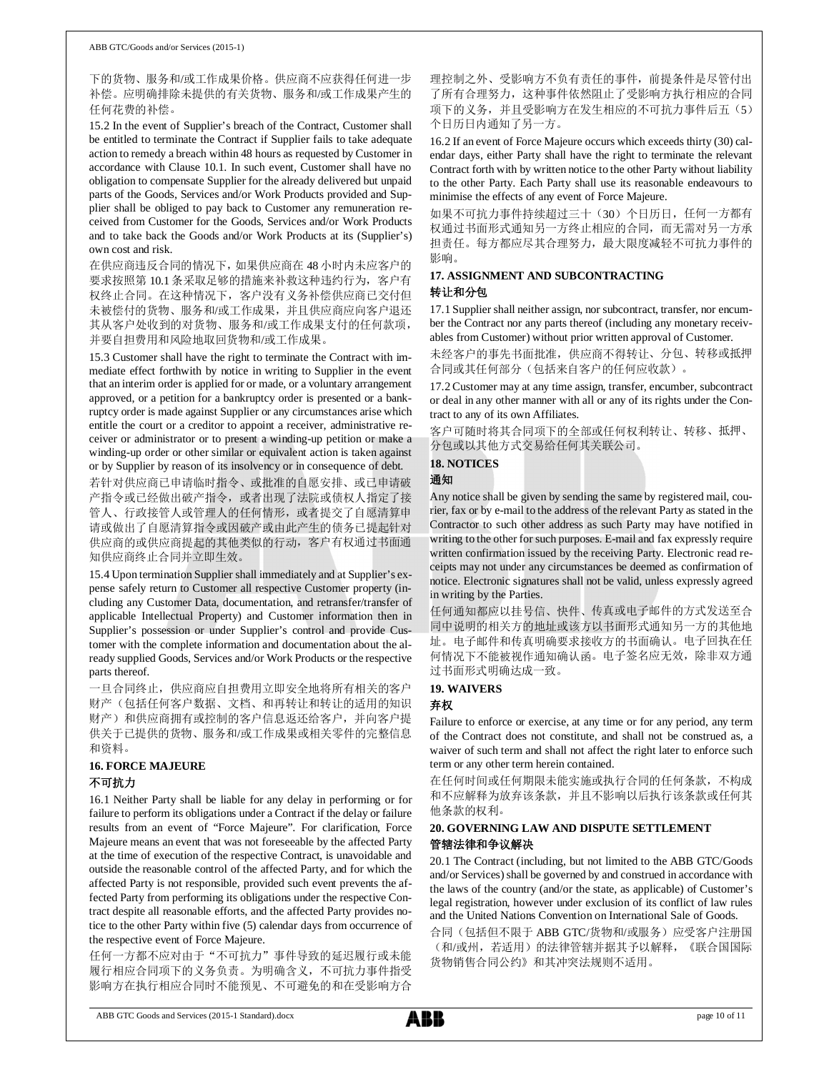下的货物、服务和/或工作成果价格。供应商不应获得任何进一步 补偿。应明确排除未提供的有关货物、服务和/或工作成果产生的 任何花费的补偿。

15.2 In the event of Supplier's breach of the Contract, Customer shall be entitled to terminate the Contract if Supplier fails to take adequate action to remedy a breach within 48 hours as requested by Customer in accordance with Clause 10.1. In such event, Customer shall have no obligation to compensate Supplier for the already delivered but unpaid parts of the Goods, Services and/or Work Products provided and Supplier shall be obliged to pay back to Customer any remuneration received from Customer for the Goods, Services and/or Work Products and to take back the Goods and/or Work Products at its (Supplier's) own cost and risk.

在供应商违反合同的情况下,如果供应商在 48 小时内未应客户的 要求按照第 10.1 条采取足够的措施来补救这种违约行为,客户有 权终止合同。在这种情况下,客户没有义务补偿供应商已交付但 未被偿付的货物、服务和/或工作成果,并且供应商应向客户退还 其从客户处收到的对货物、服务和/或工作成果支付的任何款项, 并要自担费用和风险地取回货物和/或工作成果。

15.3 Customer shall have the right to terminate the Contract with immediate effect forthwith by notice in writing to Supplier in the event that an interim order is applied for or made, or a voluntary arrangement approved, or a petition for a bankruptcy order is presented or a bankruptcy order is made against Supplier or any circumstances arise which entitle the court or a creditor to appoint a receiver, administrative receiver or administrator or to present a winding-up petition or make a winding-up order or other similar or equivalent action is taken against or by Supplier by reason of its insolvency or in consequence of debt.

若针对供应商已申请临时指令、或批准的自愿安排、或已申请破 产指令或已经做出破产指令,或者出现了法院或债权人指定了接 管人、行政接管人或管理人的任何情形,或者提交了自愿清算申 请或做出了自愿清算指令或因破产或由此产生的债务已提起针对 供应商的或供应商提起的其他类似的行动,客户有权通过书面通 知供应商终止合同并立即生效。

15.4 Upon termination Supplier shall immediately and at Supplier's expense safely return to Customer all respective Customer property (including any Customer Data, documentation, and retransfer/transfer of applicable Intellectual Property) and Customer information then in Supplier's possession or under Supplier's control and provide Customer with the complete information and documentation about the already supplied Goods, Services and/or Work Products or the respective parts thereof.

一旦合同终止,供应商应自担费用立即安全地将所有相关的客户 财产(包括任何客户数据、文档、和再转让和转让的适用的知识 财产)和供应商拥有或控制的客户信息返还给客户,并向客户提 供关于已提供的货物、服务和/或工作成果或相关零件的完整信息 和资料。

### **16. FORCE MAJEURE** 不可抗力

16.1 Neither Party shall be liable for any delay in performing or for failure to perform its obligations under a Contract if the delay or failure results from an event of "Force Majeure". For clarification, Force Majeure means an event that was not foreseeable by the affected Party at the time of execution of the respective Contract, is unavoidable and outside the reasonable control of the affected Party, and for which the affected Party is not responsible, provided such event prevents the affected Party from performing its obligations under the respective Contract despite all reasonable efforts, and the affected Party provides notice to the other Party within five (5) calendar days from occurrence of the respective event of Force Majeure.

任何一方都不应对由于"不可抗力"事件导致的延迟履行或未能 履行相应合同项下的义务负责。为明确含义,不可抗力事件指受 影响方在执行相应合同时不能预见、不可避免的和在受影响方合

理控制之外、受影响方不负有责任的事件,前提条件是尽管付出 了所有合理努力,这种事件依然阻止了受影响方执行相应的合同 项下的义务,并且受影响方在发生相应的不可抗力事件后五(5) 个日历日内通知了另一方。

16.2 If an event of Force Majeure occurs which exceeds thirty (30) calendar days, either Party shall have the right to terminate the relevant Contract forth with by written notice to the other Party without liability to the other Party. Each Party shall use its reasonable endeavours to minimise the effects of any event of Force Majeure.

如果不可抗力事件持续超过三十(30)个日历日,任何一方都有 权通过书面形式通知另一方终止相应的合同,而无需对另一方承 担责任。每方都应尽其合理努力,最大限度减轻不可抗力事件的 影响。

### **17. ASSIGNMENT AND SUBCONTRACTING** 转让和分包

17.1 Supplier shall neither assign, nor subcontract, transfer, nor encumber the Contract nor any parts thereof (including any monetary receivables from Customer) without prior written approval of Customer.

未经客户的事先书面批准,供应商不得转让、分包、转移或抵押 合同或其任何部分(包括来自客户的任何应收款)。

17.2 Customer may at any time assign, transfer, encumber, subcontract or deal in any other manner with all or any of its rights under the Contract to any of its own Affiliates.

客户可随时将其合同项下的全部或任何权利转让、转移、抵押、 分包或以其他方式交易给任何其关联公司。

# **18. NOTICES**

通知

Any notice shall be given by sending the same by registered mail, courier, fax or by e-mail to the address of the relevant Party as stated in the Contractor to such other address as such Party may have notified in writing to the other for such purposes. E-mail and fax expressly require written confirmation issued by the receiving Party. Electronic read receipts may not under any circumstances be deemed as confirmation of notice. Electronic signatures shall not be valid, unless expressly agreed in writing by the Parties.

任何通知都应以挂号信、快件、传真或电子邮件的方式发送至合 同中说明的相关方的地址或该方以书面形式通知另一方的其他地 址。电子邮件和传真明确要求接收方的书面确认。电子回执在任 何情况下不能被视作通知确认函。电子签名应无效,除非双方通 过书面形式明确达成一致。

#### **19. WAIVERS**

#### 弃权

Failure to enforce or exercise, at any time or for any period, any term of the Contract does not constitute, and shall not be construed as, a waiver of such term and shall not affect the right later to enforce such term or any other term herein contained.

在任何时间或任何期限未能实施或执行合同的任何条款,不构成 和不应解释为放弃该条款,并且不影响以后执行该条款或任何其 他条款的权利。

### **20. GOVERNING LAW AND DISPUTE SETTLEMENT** 管辖法律和争议解决

20.1 The Contract (including, but not limited to the ABB GTC/Goods and/or Services) shall be governed by and construed in accordance with the laws of the country (and/or the state, as applicable) of Customer's legal registration, however under exclusion of its conflict of law rules and the United Nations Convention on International Sale of Goods.

合同(包括但不限于 ABB GTC/货物和/或服务)应受客户注册国 (和/或州,若适用)的法律管辖并据其予以解释,《联合国国际 货物销售合同公约》和其冲突法规则不适用。

ABB GTC Goods and Services (2015-1 Standard).docx page 10 of 11